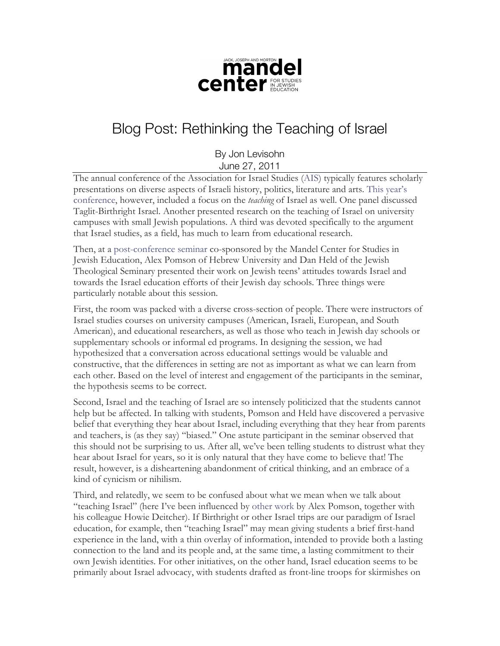

## Blog Post: Rethinking the Teaching of Israel

By Jon Levisohn June 27, 2011

The annual conference of the Association for Israel Studies (AIS) typically features scholarly presentations on diverse aspects of Israeli history, politics, literature and arts. This year's conference, however, included a focus on the *teaching* of Israel as well. One panel discussed Taglit-Birthright Israel. Another presented research on the teaching of Israel on university campuses with small Jewish populations. A third was devoted specifically to the argument that Israel studies, as a field, has much to learn from educational research.

Then, at a post-conference seminar co-sponsored by the Mandel Center for Studies in Jewish Education, Alex Pomson of Hebrew University and Dan Held of the Jewish Theological Seminary presented their work on Jewish teens' attitudes towards Israel and towards the Israel education efforts of their Jewish day schools. Three things were particularly notable about this session.

First, the room was packed with a diverse cross-section of people. There were instructors of Israel studies courses on university campuses (American, Israeli, European, and South American), and educational researchers, as well as those who teach in Jewish day schools or supplementary schools or informal ed programs. In designing the session, we had hypothesized that a conversation across educational settings would be valuable and constructive, that the differences in setting are not as important as what we can learn from each other. Based on the level of interest and engagement of the participants in the seminar, the hypothesis seems to be correct.

Second, Israel and the teaching of Israel are so intensely politicized that the students cannot help but be affected. In talking with students, Pomson and Held have discovered a pervasive belief that everything they hear about Israel, including everything that they hear from parents and teachers, is (as they say) "biased." One astute participant in the seminar observed that this should not be surprising to us. After all, we've been telling students to distrust what they hear about Israel for years, so it is only natural that they have come to believe that! The result, however, is a disheartening abandonment of critical thinking, and an embrace of a kind of cynicism or nihilism.

Third, and relatedly, we seem to be confused about what we mean when we talk about "teaching Israel" (here I've been influenced by other work by Alex Pomson, together with his colleague Howie Deitcher). If Birthright or other Israel trips are our paradigm of Israel education, for example, then "teaching Israel" may mean giving students a brief first-hand experience in the land, with a thin overlay of information, intended to provide both a lasting connection to the land and its people and, at the same time, a lasting commitment to their own Jewish identities. For other initiatives, on the other hand, Israel education seems to be primarily about Israel advocacy, with students drafted as front-line troops for skirmishes on